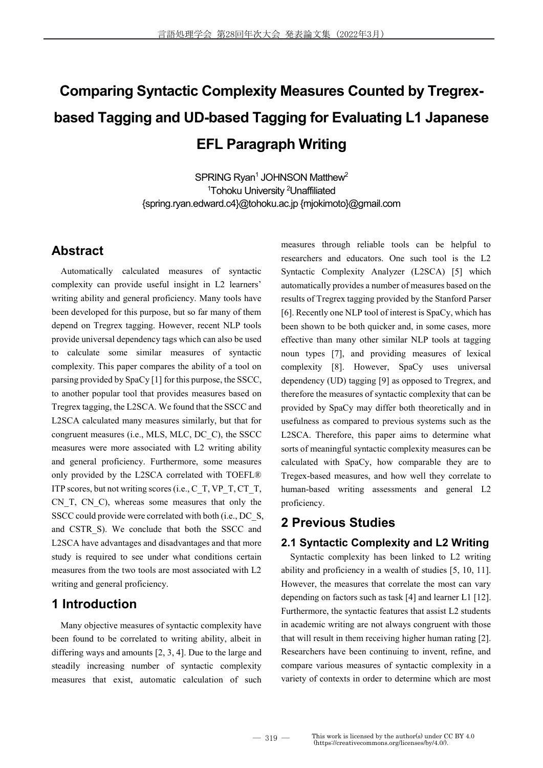# **Comparing Syntactic Complexity Measures Counted by Tregrexbased Tagging and UD-based Tagging for Evaluating L1 Japanese EFL Paragraph Writing**

SPRING Rvan<sup>1</sup> JOHNSON Matthew<sup>2</sup> <sup>1</sup>Tohoku University <sup>2</sup>Unaffiliated {spring.ryan.edward.c4}@tohoku.ac.jp {mjokimoto}@gmail.com

# **Abstract**

Automatically calculated measures of syntactic complexity can provide useful insight in L2 learners' writing ability and general proficiency. Many tools have been developed for this purpose, but so far many of them depend on Tregrex tagging. However, recent NLP tools provide universal dependency tags which can also be used to calculate some similar measures of syntactic complexity. This paper compares the ability of a tool on parsing provided by SpaCy [1] for this purpose, the SSCC, to another popular tool that provides measures based on Tregrex tagging, the L2SCA. We found that the SSCC and L2SCA calculated many measures similarly, but that for congruent measures (i.e., MLS, MLC, DC\_C), the SSCC measures were more associated with L2 writing ability and general proficiency. Furthermore, some measures only provided by the L2SCA correlated with TOEFL® ITP scores, but not writing scores (i.e.,  $C$  T, VP\_T, CT\_T, CN\_T, CN\_C), whereas some measures that only the SSCC could provide were correlated with both (i.e., DC\_S, and CSTR S). We conclude that both the SSCC and L2SCA have advantages and disadvantages and that more study is required to see under what conditions certain measures from the two tools are most associated with L2 writing and general proficiency.

# **1 Introduction**

Many objective measures of syntactic complexity have been found to be correlated to writing ability, albeit in differing ways and amounts [2, 3, 4]. Due to the large and steadily increasing number of syntactic complexity measures that exist, automatic calculation of such measures through reliable tools can be helpful to researchers and educators. One such tool is the L2 Syntactic Complexity Analyzer (L2SCA) [5] which automatically provides a number of measures based on the results of Tregrex tagging provided by the Stanford Parser [6]. Recently one NLP tool of interest is SpaCy, which has been shown to be both quicker and, in some cases, more effective than many other similar NLP tools at tagging noun types [7], and providing measures of lexical complexity [8]. However, SpaCy uses universal dependency (UD) tagging [9] as opposed to Tregrex, and therefore the measures of syntactic complexity that can be provided by SpaCy may differ both theoretically and in usefulness as compared to previous systems such as the L2SCA. Therefore, this paper aims to determine what sorts of meaningful syntactic complexity measures can be calculated with SpaCy, how comparable they are to Tregex-based measures, and how well they correlate to human-based writing assessments and general L2 proficiency.

# **2 Previous Studies**

## **2.1 Syntactic Complexity and L2 Writing**

Syntactic complexity has been linked to L2 writing ability and proficiency in a wealth of studies [5, 10, 11]. However, the measures that correlate the most can vary depending on factors such as task [4] and learner L1 [12]. Furthermore, the syntactic features that assist L2 students in academic writing are not always congruent with those that will result in them receiving higher human rating [2]. Researchers have been continuing to invent, refine, and compare various measures of syntactic complexity in a variety of contexts in order to determine which are most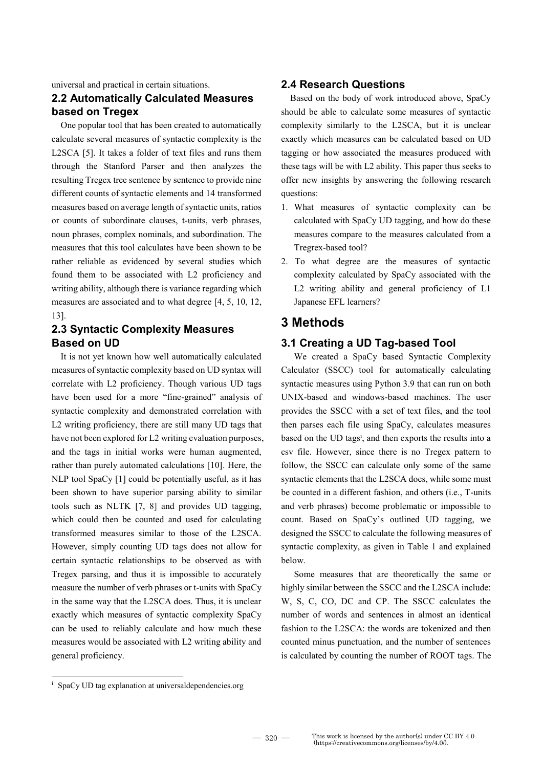universal and practical in certain situations.

## **2.2 Automatically Calculated Measures based on Tregex**

One popular tool that has been created to automatically calculate several measures of syntactic complexity is the L2SCA [5]. It takes a folder of text files and runs them through the Stanford Parser and then analyzes the resulting Tregex tree sentence by sentence to provide nine different counts of syntactic elements and 14 transformed measures based on average length of syntactic units, ratios or counts of subordinate clauses, t-units, verb phrases, noun phrases, complex nominals, and subordination. The measures that this tool calculates have been shown to be rather reliable as evidenced by several studies which found them to be associated with L2 proficiency and writing ability, although there is variance regarding which measures are associated and to what degree [4, 5, 10, 12, 13].

## **2.3 Syntactic Complexity Measures Based on UD**

It is not yet known how well automatically calculated measures of syntactic complexity based on UD syntax will correlate with L2 proficiency. Though various UD tags have been used for a more "fine-grained" analysis of syntactic complexity and demonstrated correlation with L2 writing proficiency, there are still many UD tags that have not been explored for L2 writing evaluation purposes, and the tags in initial works were human augmented, rather than purely automated calculations [10]. Here, the NLP tool SpaCy [1] could be potentially useful, as it has been shown to have superior parsing ability to similar tools such as NLTK [7, 8] and provides UD tagging, which could then be counted and used for calculating transformed measures similar to those of the L2SCA. However, simply counting UD tags does not allow for certain syntactic relationships to be observed as with Tregex parsing, and thus it is impossible to accurately measure the number of verb phrases or t-units with SpaCy in the same way that the L2SCA does. Thus, it is unclear exactly which measures of syntactic complexity SpaCy can be used to reliably calculate and how much these measures would be associated with L2 writing ability and general proficiency.

#### **2.4 Research Questions**

Based on the body of work introduced above, SpaCy should be able to calculate some measures of syntactic complexity similarly to the L2SCA, but it is unclear exactly which measures can be calculated based on UD tagging or how associated the measures produced with these tags will be with L2 ability. This paper thus seeks to offer new insights by answering the following research questions:

- 1. What measures of syntactic complexity can be calculated with SpaCy UD tagging, and how do these measures compare to the measures calculated from a Tregrex-based tool?
- 2. To what degree are the measures of syntactic complexity calculated by SpaCy associated with the L2 writing ability and general proficiency of L1 Japanese EFL learners?

#### **3 Methods**

#### **3.1 Creating a UD Tag-based Tool**

We created a SpaCy based Syntactic Complexity Calculator (SSCC) tool for automatically calculating syntactic measures using Python 3.9 that can run on both UNIX-based and windows-based machines. The user provides the SSCC with a set of text files, and the tool then parses each file using SpaCy, calculates measures based on the UD tags<sup>i</sup>, and then exports the results into a csv file. However, since there is no Tregex pattern to follow, the SSCC can calculate only some of the same syntactic elements that the L2SCA does, while some must be counted in a different fashion, and others (i.e., T-units and verb phrases) become problematic or impossible to count. Based on SpaCy's outlined UD tagging, we designed the SSCC to calculate the following measures of syntactic complexity, as given in Table 1 and explained below.

Some measures that are theoretically the same or highly similar between the SSCC and the L2SCA include: W, S, C, CO, DC and CP. The SSCC calculates the number of words and sentences in almost an identical fashion to the L2SCA: the words are tokenized and then counted minus punctuation, and the number of sentences is calculated by counting the number of ROOT tags. The

-

<sup>&</sup>lt;sup>i</sup> SpaCy UD tag explanation at universaldependencies.org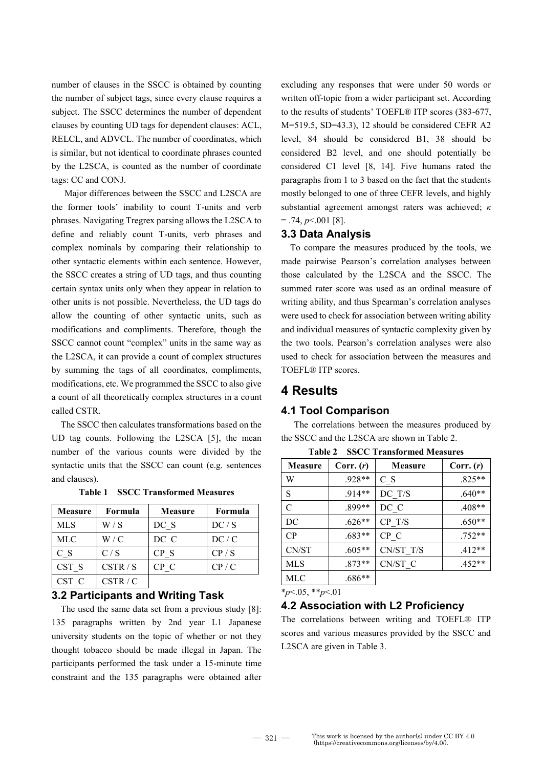number of clauses in the SSCC is obtained by counting the number of subject tags, since every clause requires a subject. The SSCC determines the number of dependent clauses by counting UD tags for dependent clauses: ACL, RELCL, and ADVCL. The number of coordinates, which is similar, but not identical to coordinate phrases counted by the L2SCA, is counted as the number of coordinate tags: CC and CONJ.

Major differences between the SSCC and L2SCA are the former tools' inability to count T-units and verb phrases. Navigating Tregrex parsing allows the L2SCA to define and reliably count T-units, verb phrases and complex nominals by comparing their relationship to other syntactic elements within each sentence. However, the SSCC creates a string of UD tags, and thus counting certain syntax units only when they appear in relation to other units is not possible. Nevertheless, the UD tags do allow the counting of other syntactic units, such as modifications and compliments. Therefore, though the SSCC cannot count "complex" units in the same way as the L2SCA, it can provide a count of complex structures by summing the tags of all coordinates, compliments, modifications, etc. We programmed the SSCC to also give a count of all theoretically complex structures in a count called CSTR.

The SSCC then calculates transformations based on the UD tag counts. Following the L2SCA [5], the mean number of the various counts were divided by the syntactic units that the SSCC can count (e.g. sentences and clauses).

| <b>Measure</b> | Formula  | <b>Measure</b> | Formula |
|----------------|----------|----------------|---------|
| <b>MLS</b>     | W/S      | DC S           | DC / S  |
| <b>MLC</b>     | W/C      | DC C           | DC/C    |
| $C_S$          | C/S      | CP S           | CP/S    |
| CST S          | CSTR / S | CP C           | CP / C  |
| CST C          | CSTR / C |                |         |

**Table 1 SSCC Transformed Measures**

#### **3.2 Participants and Writing Task**

The used the same data set from a previous study [8]: 135 paragraphs written by 2nd year L1 Japanese university students on the topic of whether or not they thought tobacco should be made illegal in Japan. The participants performed the task under a 15-minute time constraint and the 135 paragraphs were obtained after

excluding any responses that were under 50 words or written off-topic from a wider participant set. According to the results of students' TOEFL® ITP scores (383-677, M=519.5, SD=43.3), 12 should be considered CEFR A2 level, 84 should be considered B1, 38 should be considered B2 level, and one should potentially be considered C1 level [8, 14]. Five humans rated the paragraphs from 1 to 3 based on the fact that the students mostly belonged to one of three CEFR levels, and highly substantial agreement amongst raters was achieved; *κ*  $= .74, p<.001$  [8].

#### **3.3 Data Analysis**

To compare the measures produced by the tools, we made pairwise Pearson's correlation analyses between those calculated by the L2SCA and the SSCC. The summed rater score was used as an ordinal measure of writing ability, and thus Spearman's correlation analyses were used to check for association between writing ability and individual measures of syntactic complexity given by the two tools. Pearson's correlation analyses were also used to check for association between the measures and TOEFL® ITP scores.

## **4 Results**

#### **4.1 Tool Comparison**

The correlations between the measures produced by the SSCC and the L2SCA are shown in Table 2.

**Table 2 SSCC Transformed Measures**

| <b>Measure</b> | Corr. (r) | <b>Measure</b> | Corr. (r) |
|----------------|-----------|----------------|-----------|
| W              | $.928**$  | C S            | $.825**$  |
| S              | $.914**$  | DC T/S         | $.640**$  |
| $\mathcal{C}$  | .899**    | DC C           | $.408**$  |
| DC             | $.626**$  | CP T/S         | $.650**$  |
| $\mathbf{C}$   | $.683**$  | CP C           | $.752**$  |
| CN/ST          | $.605**$  | CN/ST T/S      | $.412**$  |
| <b>MLS</b>     | $.873**$  | CN/ST C        | $.452**$  |
| MLC            | $.686**$  |                |           |

\**p*<.05, \*\**p*<.01

#### **4.2 Association with L2 Proficiency**

The correlations between writing and TOEFL® ITP scores and various measures provided by the SSCC and L2SCA are given in Table 3.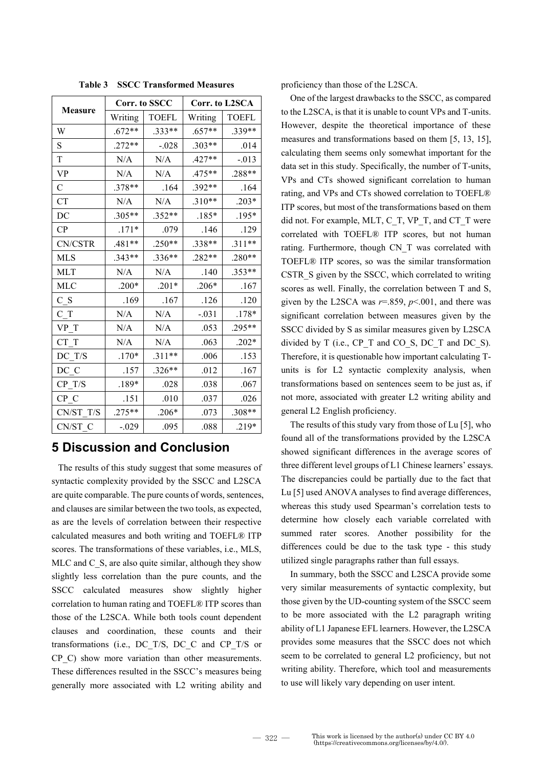|               | Corr. to SSCC |              | Corr. to L2SCA |              |
|---------------|---------------|--------------|----------------|--------------|
| Measure       | Writing       | <b>TOEFL</b> | Writing        | <b>TOEFL</b> |
| W             | $.672**$      | $.333**$     | $.657**$       | $.339**$     |
| S             | $.272**$      | $-.028$      | $.303**$       | .014         |
| T             | N/A           | N/A          | $.427**$       | $-0.013$     |
| <b>VP</b>     | N/A           | N/A          | .475**         | $.288**$     |
| $\mathcal{C}$ | $.378**$      | .164         | $.392**$       | .164         |
| <b>CT</b>     | N/A           | N/A          | $.310**$       | $.203*$      |
| DC            | $.305**$      | $.352**$     | $.185*$        | $.195*$      |
| CP            | $.171*$       | .079         | .146           | .129         |
| CN/CSTR       | $.481**$      | $.250**$     | .338**         | $.311**$     |
| <b>MLS</b>    | $.343**$      | $.336**$     | $.282**$       | $.280**$     |
| <b>MLT</b>    | $\rm N/A$     | N/A          | .140           | $.353**$     |
| <b>MLC</b>    | $.200*$       | $.201*$      | $.206*$        | .167         |
| C S           | .169          | .167         | .126           | .120         |
| C T           | N/A           | N/A          | $-.031$        | $.178*$      |
| VP T          | N/A           | N/A          | .053           | $.295**$     |
| CT T          | N/A           | N/A          | .063           | $.202*$      |
| DC T/S        | $.170*$       | $.311**$     | .006           | .153         |
| DC C          | .157          | $.326**$     | .012           | .167         |
| CP T/S        | .189*         | .028         | .038           | .067         |
| CP C          | .151          | .010         | .037           | .026         |
| CN/ST T/S     | $.275**$      | $.206*$      | .073           | .308**       |
| CN/ST C       | $-.029$       | .095         | .088           | $.219*$      |

**Table 3 SSCC Transformed Measures**

# **5 Discussion and Conclusion**

The results of this study suggest that some measures of syntactic complexity provided by the SSCC and L2SCA are quite comparable. The pure counts of words, sentences, and clauses are similar between the two tools, as expected, as are the levels of correlation between their respective calculated measures and both writing and TOEFL® ITP scores. The transformations of these variables, i.e., MLS, MLC and C\_S, are also quite similar, although they show slightly less correlation than the pure counts, and the SSCC calculated measures show slightly higher correlation to human rating and TOEFL® ITP scores than those of the L2SCA. While both tools count dependent clauses and coordination, these counts and their transformations (i.e., DC\_T/S, DC\_C and CP\_T/S or CP C) show more variation than other measurements. These differences resulted in the SSCC's measures being generally more associated with L2 writing ability and

proficiency than those of the L2SCA.

One of the largest drawbacks to the SSCC, as compared to the L2SCA, is that it is unable to count VPs and T-units. However, despite the theoretical importance of these measures and transformations based on them [5, 13, 15], calculating them seems only somewhat important for the data set in this study. Specifically, the number of T-units, VPs and CTs showed significant correlation to human rating, and VPs and CTs showed correlation to TOEFL® ITP scores, but most of the transformations based on them did not. For example, MLT, C\_T, VP\_T, and CT\_T were correlated with TOEFL® ITP scores, but not human rating. Furthermore, though CN\_T was correlated with TOEFL® ITP scores, so was the similar transformation CSTR S given by the SSCC, which correlated to writing scores as well. Finally, the correlation between T and S, given by the L2SCA was  $r=0.859$ ,  $p<0.01$ , and there was significant correlation between measures given by the SSCC divided by S as similar measures given by L2SCA divided by T (i.e., CP\_T and CO\_S, DC\_T and DC\_S). Therefore, it is questionable how important calculating Tunits is for L2 syntactic complexity analysis, when transformations based on sentences seem to be just as, if not more, associated with greater L2 writing ability and general L2 English proficiency.

The results of this study vary from those of Lu [5], who found all of the transformations provided by the L2SCA showed significant differences in the average scores of three different level groups of L1 Chinese learners' essays. The discrepancies could be partially due to the fact that Lu [5] used ANOVA analyses to find average differences, whereas this study used Spearman's correlation tests to determine how closely each variable correlated with summed rater scores. Another possibility for the differences could be due to the task type - this study utilized single paragraphs rather than full essays.

In summary, both the SSCC and L2SCA provide some very similar measurements of syntactic complexity, but those given by the UD-counting system of the SSCC seem to be more associated with the L2 paragraph writing ability of L1 Japanese EFL learners. However, the L2SCA provides some measures that the SSCC does not which seem to be correlated to general L2 proficiency, but not writing ability. Therefore, which tool and measurements to use will likely vary depending on user intent.